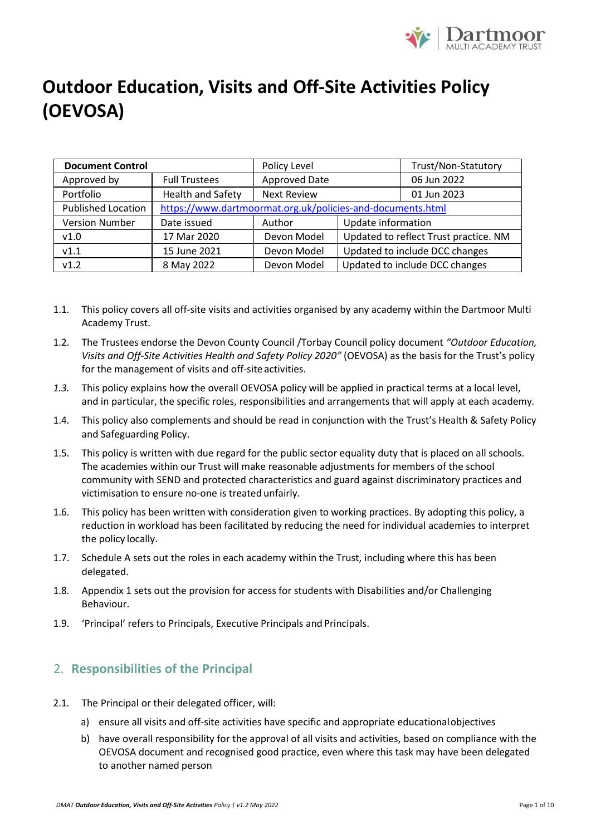

| <b>Document Control</b>   |                                                            | Policy Level       |                                       | Trust/Non-Statutory |
|---------------------------|------------------------------------------------------------|--------------------|---------------------------------------|---------------------|
| Approved by               | <b>Full Trustees</b>                                       | Approved Date      |                                       | 06 Jun 2022         |
| Portfolio                 | <b>Health and Safety</b>                                   | <b>Next Review</b> |                                       | 01 Jun 2023         |
| <b>Published Location</b> | https://www.dartmoormat.org.uk/policies-and-documents.html |                    |                                       |                     |
| <b>Version Number</b>     | Date issued                                                | Author             | Update information                    |                     |
| v1.0                      | 17 Mar 2020                                                | Devon Model        | Updated to reflect Trust practice. NM |                     |
| V1.1                      | 15 June 2021                                               | Devon Model        | Updated to include DCC changes        |                     |
| v1.2                      | 8 May 2022                                                 | Devon Model        | Updated to include DCC changes        |                     |

- 1.1. This policy covers all off-site visits and activities organised by any academy within the Dartmoor Multi Academy Trust.
- 1.2. The Trustees endorse the Devon County Council /Torbay Council policy document *"Outdoor Education, Visits and Off-Site Activities Health and Safety Policy 2020"* (OEVOSA) as the basis for the Trust's policy for the management of visits and off-site activities.
- *1.3.* This policy explains how the overall OEVOSA policy will be applied in practical terms at a local level, and in particular, the specific roles, responsibilities and arrangements that will apply at each academy*.*
- 1.4. This policy also complements and should be read in conjunction with the Trust's Health & Safety Policy and Safeguarding Policy.
- 1.5. This policy is written with due regard for the public sector equality duty that is placed on all schools. The academies within our Trust will make reasonable adjustments for members of the school community with SEND and protected characteristics and guard against discriminatory practices and victimisation to ensure no-one is treated unfairly.
- 1.6. This policy has been written with consideration given to working practices. By adopting this policy, a reduction in workload has been facilitated by reducing the need for individual academies to interpret the policy locally.
- 1.7. Schedule A sets out the roles in each academy within the Trust, including where this has been delegated.
- 1.8. Appendix 1 sets out the provision for access for students with Disabilities and/or Challenging Behaviour.
- 1.9. 'Principal' refers to Principals, Executive Principals and Principals.

### 2. **Responsibilities of the Principal**

- 2.1. The Principal or their delegated officer, will:
	- a) ensure all visits and off-site activities have specific and appropriate educationalobjectives
	- b) have overall responsibility for the approval of all visits and activities, based on compliance with the OEVOSA document and recognised good practice, even where this task may have been delegated to another named person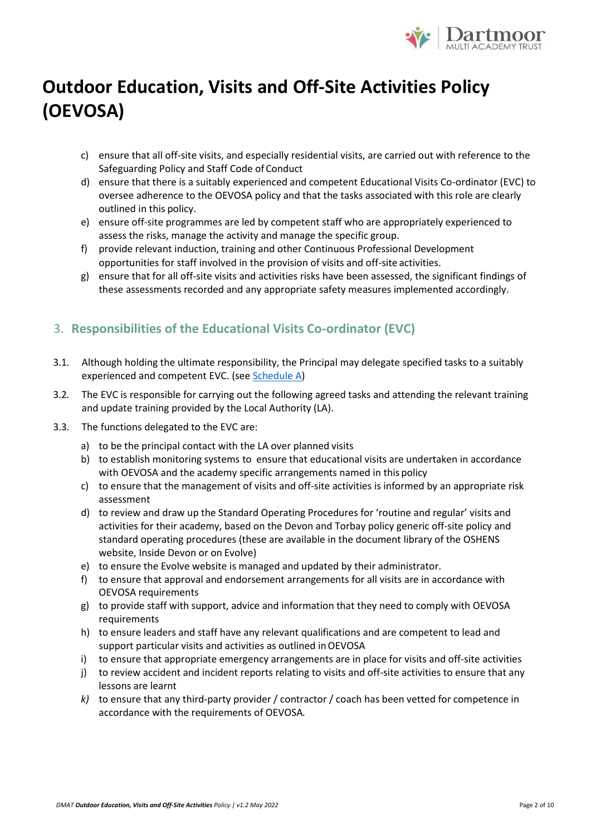

- c) ensure that all off-site visits, and especially residential visits, are carried out with reference to the Safeguarding Policy and Staff Code of Conduct
- d) ensure that there is a suitably experienced and competent Educational Visits Co-ordinator (EVC) to oversee adherence to the OEVOSA policy and that the tasks associated with this role are clearly outlined in this policy.
- e) ensure off-site programmes are led by competent staff who are appropriately experienced to assess the risks, manage the activity and manage the specific group.
- f) provide relevant induction, training and other Continuous Professional Development opportunities for staff involved in the provision of visits and off-site activities.
- g) ensure that for all off-site visits and activities risks have been assessed, the significant findings of these assessments recorded and any appropriate safety measures implemented accordingly.

## 3. **Responsibilities of the Educational Visits Co-ordinator (EVC)**

- 3.1. Although holding the ultimate responsibility, the Principal may delegate specified tasks to a suitably experienced and competent EVC. (see [Schedule A\)](#page-7-0)
- 3.2. The EVC is responsible for carrying out the following agreed tasks and attending the relevant training and update training provided by the Local Authority (LA).
- 3.3. The functions delegated to the EVC are:
	- a) to be the principal contact with the LA over planned visits
	- b) to establish monitoring systems to ensure that educational visits are undertaken in accordance with OEVOSA and the academy specific arrangements named in this policy
	- c) to ensure that the management of visits and off-site activities is informed by an appropriate risk assessment
	- d) to review and draw up the Standard Operating Procedures for 'routine and regular' visits and activities for their academy, based on the Devon and Torbay policy generic off-site policy and standard operating procedures (these are available in the document library of the OSHENS website, Inside Devon or on Evolve)
	- e) to ensure the Evolve website is managed and updated by their administrator.
	- f) to ensure that approval and endorsement arrangements for all visits are in accordance with OEVOSA requirements
	- g) to provide staff with support, advice and information that they need to comply with OEVOSA requirements
	- h) to ensure leaders and staff have any relevant qualifications and are competent to lead and support particular visits and activities as outlined inOEVOSA
	- i) to ensure that appropriate emergency arrangements are in place for visits and off-site activities
	- j) to review accident and incident reports relating to visits and off-site activities to ensure that any lessons are learnt
	- *k)* to ensure that any third-party provider / contractor / coach has been vetted for competence in accordance with the requirements of OEVOSA*.*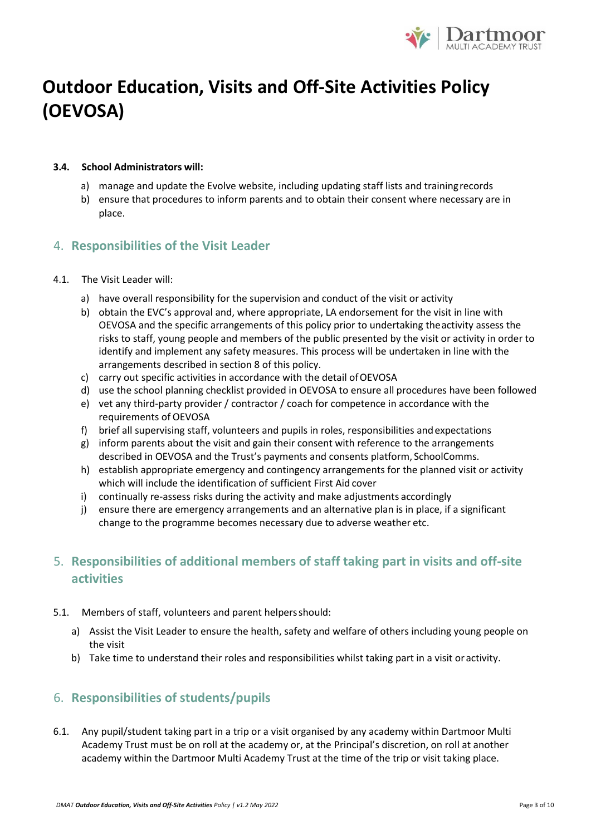

#### **3.4. School Administrators will:**

- a) manage and update the Evolve website, including updating staff lists and trainingrecords
- b) ensure that procedures to inform parents and to obtain their consent where necessary are in place.

#### 4. **Responsibilities of the Visit Leader**

- 4.1. The Visit Leader will:
	- a) have overall responsibility for the supervision and conduct of the visit or activity
	- b) obtain the EVC's approval and, where appropriate, LA endorsement for the visit in line with OEVOSA and the specific arrangements of this policy prior to undertaking theactivity assess the risks to staff, young people and members of the public presented by the visit or activity in order to identify and implement any safety measures. This process will be undertaken in line with the arrangements described in section 8 of this policy.
	- c) carry out specific activities in accordance with the detail ofOEVOSA
	- d) use the school planning checklist provided in OEVOSA to ensure all procedures have been followed
	- e) vet any third-party provider / contractor / coach for competence in accordance with the requirements of OEVOSA
	- f) brief all supervising staff, volunteers and pupils in roles, responsibilities andexpectations
	- g) inform parents about the visit and gain their consent with reference to the arrangements described in OEVOSA and the Trust's payments and consents platform, SchoolComms.
	- h) establish appropriate emergency and contingency arrangements for the planned visit or activity which will include the identification of sufficient First Aid cover
	- i) continually re-assess risks during the activity and make adjustments accordingly
	- j) ensure there are emergency arrangements and an alternative plan is in place, if a significant change to the programme becomes necessary due to adverse weather etc.

## 5. **Responsibilities of additional members of staff taking part in visits and off-site activities**

- 5.1. Members of staff, volunteers and parent helpersshould:
	- a) Assist the Visit Leader to ensure the health, safety and welfare of others including young people on the visit
	- b) Take time to understand their roles and responsibilities whilst taking part in a visit or activity.

### 6. **Responsibilities of students/pupils**

6.1. Any pupil/student taking part in a trip or a visit organised by any academy within Dartmoor Multi Academy Trust must be on roll at the academy or, at the Principal's discretion, on roll at another academy within the Dartmoor Multi Academy Trust at the time of the trip or visit taking place.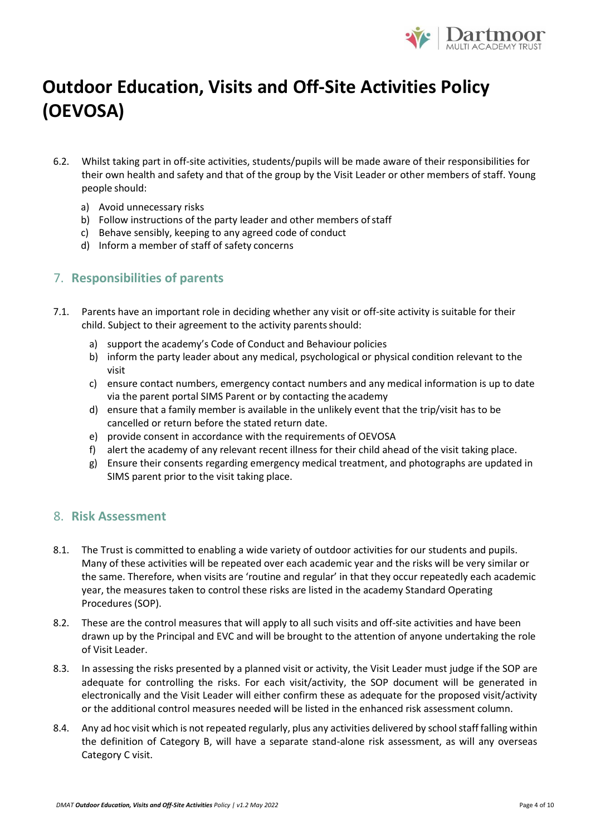

- 6.2. Whilst taking part in off-site activities, students/pupils will be made aware of their responsibilities for their own health and safety and that of the group by the Visit Leader or other members of staff. Young people should:
	- a) Avoid unnecessary risks
	- b) Follow instructions of the party leader and other members of staff
	- c) Behave sensibly, keeping to any agreed code of conduct
	- d) Inform a member of staff of safety concerns

### 7. **Responsibilities of parents**

- 7.1. Parents have an important role in deciding whether any visit or off-site activity is suitable for their child. Subject to their agreement to the activity parents should:
	- a) support the academy's Code of Conduct and Behaviour policies
	- b) inform the party leader about any medical, psychological or physical condition relevant to the visit
	- c) ensure contact numbers, emergency contact numbers and any medical information is up to date via the parent portal SIMS Parent or by contacting the academy
	- d) ensure that a family member is available in the unlikely event that the trip/visit has to be cancelled or return before the stated return date.
	- e) provide consent in accordance with the requirements of OEVOSA
	- f) alert the academy of any relevant recent illness for their child ahead of the visit taking place.
	- g) Ensure their consents regarding emergency medical treatment, and photographs are updated in SIMS parent prior to the visit taking place.

#### 8. **Risk Assessment**

- 8.1. The Trust is committed to enabling a wide variety of outdoor activities for our students and pupils. Many of these activities will be repeated over each academic year and the risks will be very similar or the same. Therefore, when visits are 'routine and regular' in that they occur repeatedly each academic year, the measures taken to control these risks are listed in the academy Standard Operating Procedures (SOP).
- 8.2. These are the control measures that will apply to all such visits and off-site activities and have been drawn up by the Principal and EVC and will be brought to the attention of anyone undertaking the role of Visit Leader.
- 8.3. In assessing the risks presented by a planned visit or activity, the Visit Leader must judge if the SOP are adequate for controlling the risks. For each visit/activity, the SOP document will be generated in electronically and the Visit Leader will either confirm these as adequate for the proposed visit/activity or the additional control measures needed will be listed in the enhanced risk assessment column.
- 8.4. Any ad hoc visit which is not repeated regularly, plus any activities delivered by school staff falling within the definition of Category B, will have a separate stand-alone risk assessment, as will any overseas Category C visit.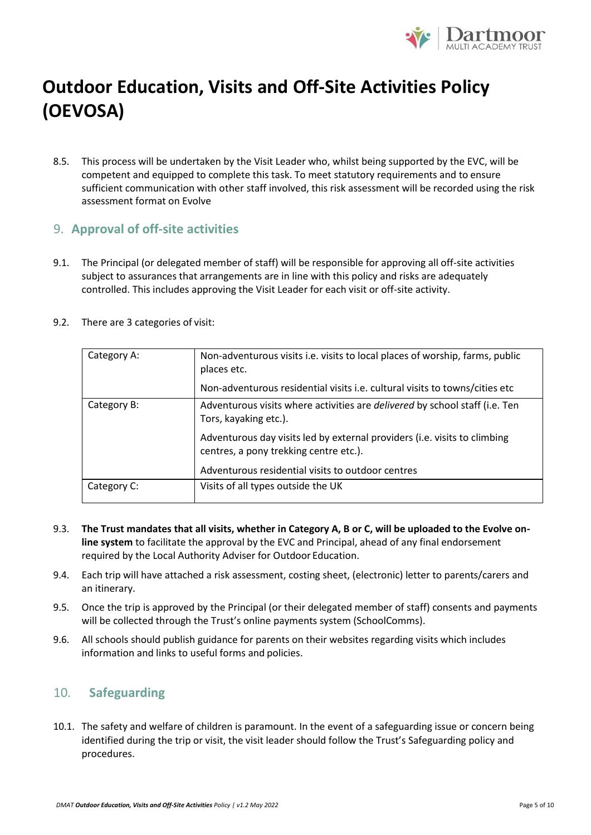

8.5. This process will be undertaken by the Visit Leader who, whilst being supported by the EVC, will be competent and equipped to complete this task. To meet statutory requirements and to ensure sufficient communication with other staff involved, this risk assessment will be recorded using the risk assessment format on Evolve

### 9. **Approval of off-site activities**

9.1. The Principal (or delegated member of staff) will be responsible for approving all off-site activities subject to assurances that arrangements are in line with this policy and risks are adequately controlled. This includes approving the Visit Leader for each visit or off-site activity.

| Category A: | Non-adventurous visits i.e. visits to local places of worship, farms, public<br>places etc.                         |  |
|-------------|---------------------------------------------------------------------------------------------------------------------|--|
|             | Non-adventurous residential visits i.e. cultural visits to towns/cities etc                                         |  |
| Category B: | Adventurous visits where activities are <i>delivered</i> by school staff (i.e. Ten<br>Tors, kayaking etc.).         |  |
|             | Adventurous day visits led by external providers (i.e. visits to climbing<br>centres, a pony trekking centre etc.). |  |
|             | Adventurous residential visits to outdoor centres                                                                   |  |
| Category C: | Visits of all types outside the UK                                                                                  |  |

9.2. There are 3 categories of visit:

- 9.3. **The Trust mandates that all visits, whether in Category A, B or C, will be uploaded to the Evolve online system** to facilitate the approval by the EVC and Principal, ahead of any final endorsement required by the Local Authority Adviser for Outdoor Education.
- 9.4. Each trip will have attached a risk assessment, costing sheet, (electronic) letter to parents/carers and an itinerary.
- 9.5. Once the trip is approved by the Principal (or their delegated member of staff) consents and payments will be collected through the Trust's online payments system (SchoolComms).
- 9.6. All schools should publish guidance for parents on their websites regarding visits which includes information and links to useful forms and policies.

#### 10. **Safeguarding**

10.1. The safety and welfare of children is paramount. In the event of a safeguarding issue or concern being identified during the trip or visit, the visit leader should follow the Trust's Safeguarding policy and procedures.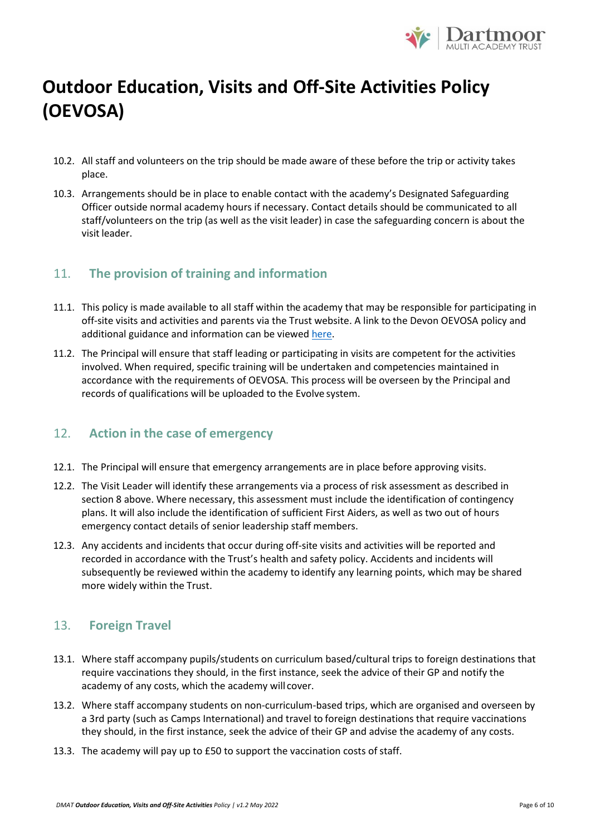

- 10.2. All staff and volunteers on the trip should be made aware of these before the trip or activity takes place.
- 10.3. Arrangements should be in place to enable contact with the academy's Designated Safeguarding Officer outside normal academy hours if necessary. Contact details should be communicated to all staff/volunteers on the trip (as well as the visit leader) in case the safeguarding concern is about the visit leader.

### 11. **The provision of training and information**

- 11.1. This policy is made available to all staff within the academy that may be responsible for participating in off-site visits and activities and parents via the Trust website. A link to the Devon OEVOSA policy and additional guidance and information can be viewed [here.](https://www.babcockldp.co.uk/improving-schools-settings/curriculum-additional/outdoor-education)
- 11.2. The Principal will ensure that staff leading or participating in visits are competent for the activities involved. When required, specific training will be undertaken and competencies maintained in accordance with the requirements of OEVOSA. This process will be overseen by the Principal and records of qualifications will be uploaded to the Evolve system.

### 12. **Action in the case of emergency**

- 12.1. The Principal will ensure that emergency arrangements are in place before approving visits.
- 12.2. The Visit Leader will identify these arrangements via a process of risk assessment as described in section 8 above. Where necessary, this assessment must include the identification of contingency plans. It will also include the identification of sufficient First Aiders, as well as two out of hours emergency contact details of senior leadership staff members.
- 12.3. Any accidents and incidents that occur during off-site visits and activities will be reported and recorded in accordance with the Trust's health and safety policy. Accidents and incidents will subsequently be reviewed within the academy to identify any learning points, which may be shared more widely within the Trust.

### 13. **Foreign Travel**

- 13.1. Where staff accompany pupils/students on curriculum based/cultural trips to foreign destinations that require vaccinations they should, in the first instance, seek the advice of their GP and notify the academy of any costs, which the academy will cover.
- 13.2. Where staff accompany students on non-curriculum-based trips, which are organised and overseen by a 3rd party (such as Camps International) and travel to foreign destinations that require vaccinations they should, in the first instance, seek the advice of their GP and advise the academy of any costs.
- 13.3. The academy will pay up to £50 to support the vaccination costs of staff.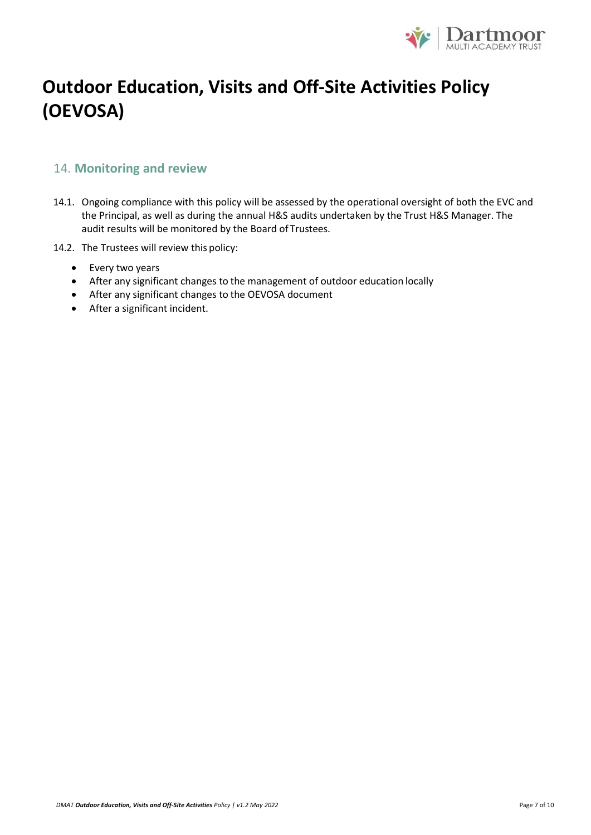

### 14. **Monitoring and review**

- 14.1. Ongoing compliance with this policy will be assessed by the operational oversight of both the EVC and the Principal, as well as during the annual H&S audits undertaken by the Trust H&S Manager. The audit results will be monitored by the Board of Trustees.
- 14.2. The Trustees will review this policy:
	- Every two years
	- After any significant changes to the management of outdoor education locally
	- After any significant changes to the OEVOSA document
	- After a significant incident.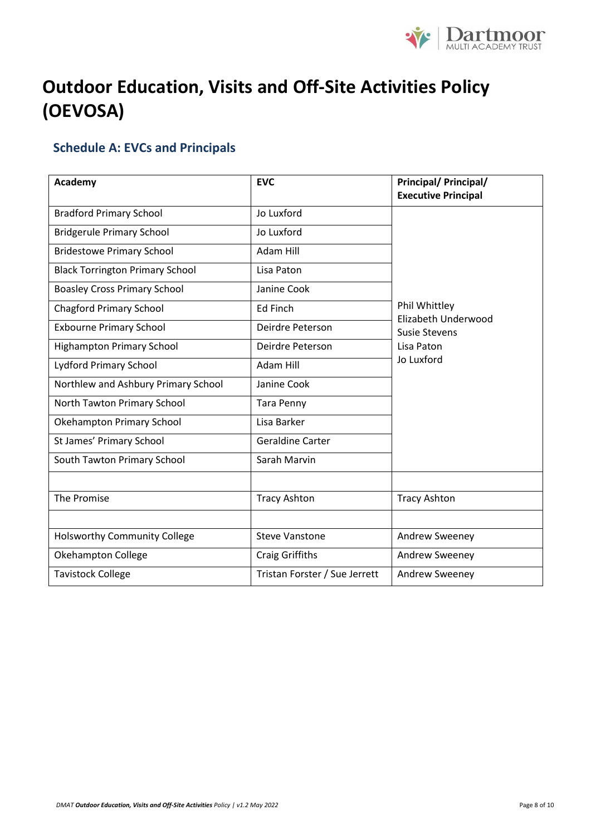

### <span id="page-7-0"></span>**Schedule A: EVCs and Principals**

| Academy                                | <b>EVC</b>                    | <b>Principal/ Principal/</b><br><b>Executive Principal</b>                               |  |
|----------------------------------------|-------------------------------|------------------------------------------------------------------------------------------|--|
| <b>Bradford Primary School</b>         | Jo Luxford                    |                                                                                          |  |
| <b>Bridgerule Primary School</b>       | Jo Luxford                    |                                                                                          |  |
| <b>Bridestowe Primary School</b>       | Adam Hill                     |                                                                                          |  |
| <b>Black Torrington Primary School</b> | Lisa Paton                    | Phil Whittley<br>Elizabeth Underwood<br><b>Susie Stevens</b><br>Lisa Paton<br>Jo Luxford |  |
| <b>Boasley Cross Primary School</b>    | Janine Cook                   |                                                                                          |  |
| <b>Chagford Primary School</b>         | Ed Finch                      |                                                                                          |  |
| <b>Exbourne Primary School</b>         | Deirdre Peterson              |                                                                                          |  |
| <b>Highampton Primary School</b>       | Deirdre Peterson              |                                                                                          |  |
| <b>Lydford Primary School</b>          | Adam Hill                     |                                                                                          |  |
| Northlew and Ashbury Primary School    | Janine Cook                   |                                                                                          |  |
| North Tawton Primary School            | <b>Tara Penny</b>             |                                                                                          |  |
| Okehampton Primary School              | Lisa Barker                   |                                                                                          |  |
| St James' Primary School               | Geraldine Carter              |                                                                                          |  |
| South Tawton Primary School            | Sarah Marvin                  |                                                                                          |  |
|                                        |                               |                                                                                          |  |
| The Promise                            | <b>Tracy Ashton</b>           | <b>Tracy Ashton</b>                                                                      |  |
|                                        |                               |                                                                                          |  |
| <b>Holsworthy Community College</b>    | <b>Steve Vanstone</b>         | Andrew Sweeney                                                                           |  |
| Okehampton College                     | <b>Craig Griffiths</b>        | Andrew Sweeney                                                                           |  |
| <b>Tavistock College</b>               | Tristan Forster / Sue Jerrett | Andrew Sweeney                                                                           |  |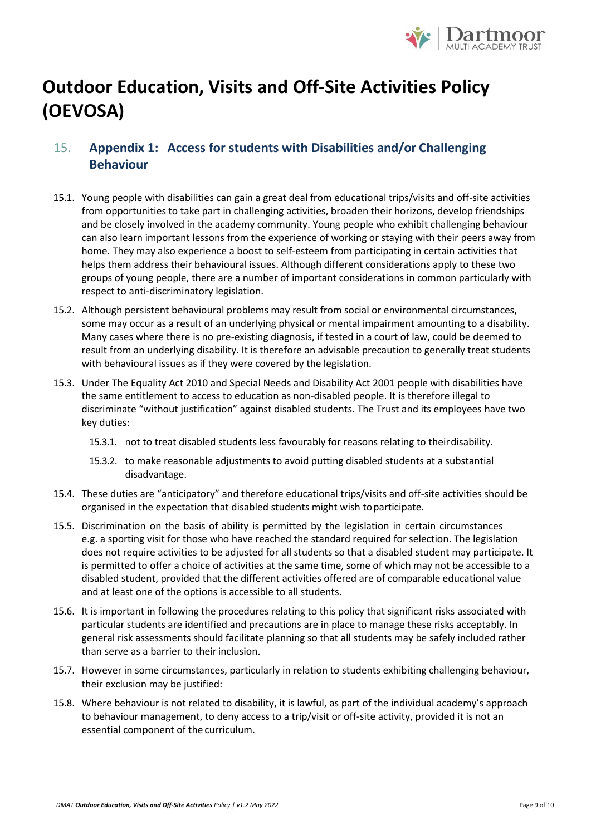

### 15. **Appendix 1: Access for students with Disabilities and/or Challenging Behaviour**

- 15.1. Young people with disabilities can gain a great deal from educational trips/visits and off-site activities from opportunities to take part in challenging activities, broaden their horizons, develop friendships and be closely involved in the academy community. Young people who exhibit challenging behaviour can also learn important lessons from the experience of working or staying with their peers away from home. They may also experience a boost to self-esteem from participating in certain activities that helps them address their behavioural issues. Although different considerations apply to these two groups of young people, there are a number of important considerations in common particularly with respect to anti-discriminatory legislation.
- 15.2. Although persistent behavioural problems may result from social or environmental circumstances, some may occur as a result of an underlying physical or mental impairment amounting to a disability. Many cases where there is no pre-existing diagnosis, if tested in a court of law, could be deemed to result from an underlying disability. It is therefore an advisable precaution to generally treat students with behavioural issues as if they were covered by the legislation.
- 15.3. Under The Equality Act 2010 and Special Needs and Disability Act 2001 people with disabilities have the same entitlement to access to education as non-disabled people. It is therefore illegal to discriminate "without justification" against disabled students. The Trust and its employees have two key duties:
	- 15.3.1. not to treat disabled students less favourably for reasons relating to theirdisability.
	- 15.3.2. to make reasonable adjustments to avoid putting disabled students at a substantial disadvantage.
- 15.4. These duties are "anticipatory" and therefore educational trips/visits and off-site activities should be organised in the expectation that disabled students might wish toparticipate.
- 15.5. Discrimination on the basis of ability is permitted by the legislation in certain circumstances e.g. a sporting visit for those who have reached the standard required for selection. The legislation does not require activities to be adjusted for all students so that a disabled student may participate. It is permitted to offer a choice of activities at the same time, some of which may not be accessible to a disabled student, provided that the different activities offered are of comparable educational value and at least one of the options is accessible to all students.
- 15.6. It is important in following the procedures relating to this policy that significant risks associated with particular students are identified and precautions are in place to manage these risks acceptably. In general risk assessments should facilitate planning so that all students may be safely included rather than serve as a barrier to their inclusion.
- 15.7. However in some circumstances, particularly in relation to students exhibiting challenging behaviour, their exclusion may be justified:
- 15.8. Where behaviour is not related to disability, it is lawful, as part of the individual academy's approach to behaviour management, to deny access to a trip/visit or off-site activity, provided it is not an essential component of the curriculum.